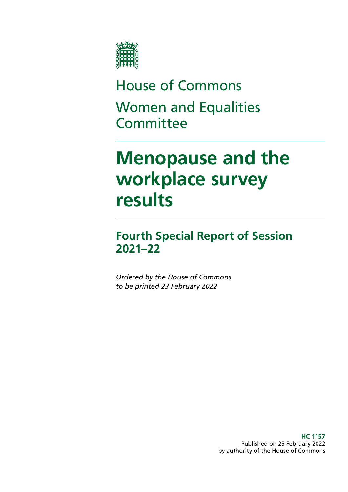

# House of Commons Women and Equalities **Committee**

# **Menopause and the workplace survey results**

# **Fourth Special Report of Session 2021–22**

*Ordered by the House of Commons to be printed 23 February 2022*

> **HC 1157** Published on 25 February 2022 by authority of the House of Commons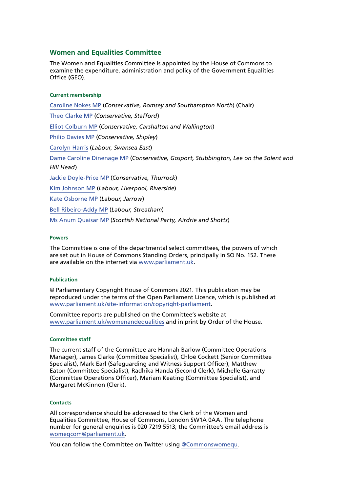#### **Women and Equalities Committee**

The Women and Equalities Committee is appointed by the House of Commons to examine the expenditure, administration and policy of the Government Equalities Office (GEO).

#### **Current membership**

[Caroline Nokes MP](https://members.parliament.uk/member/4048/contact) (*Conservative, Romsey and Southampton North*) (Chair) [Theo Clarke MP](https://members.parliament.uk/member/4819/contact) (*Conservative, Stafford*) [Elliot Colburn MP](https://members.parliament.uk/member/4775/contact) (*Conservative, Carshalton and Wallington*) [Philip Davies MP](https://members.parliament.uk/member/1565/contact) (*Conservative, Shipley*) [Carolyn](https://members.parliament.uk/member/4480/contact) Harris (*Labour, Swansea East*) Dame Caroline Dinenage MP (*Conservative, Gosport, Stubbington, Lee on the Solent and Hill Head*) Jackie Doyle-Price MP (*Conservative, Thurrock*) [Kim Johnson MP](https://members.parliament.uk/member/4824/contact) (*Labour, Liverpool, Riverside*) [Kate Osborne MP](https://members.parliament.uk/member/4783/contact) (*Labour, Jarrow*) [Bell Ribeiro-Addy MP](https://members.parliament.uk/member/4764/contact) (*Labour, Streatham*) Ms Anum Quaisar MP (*Scottish National Party, Airdrie and Shotts*)

#### **Powers**

The Committee is one of the departmental select committees, the powers of which are set out in House of Commons Standing Orders, principally in SO No. 152. These are available on the internet via [www.parliament.uk.](http://www.parliament.uk/)

#### **Publication**

© Parliamentary Copyright House of Commons 2021. This publication may be reproduced under the terms of the Open Parliament Licence, which is published at [www.parliament.uk/site-information/copyright-parliament.](https://www.parliament.uk/site-information/copyright-parliament/)

Committee reports are published on the Committee's website at [www.parliament.uk/womenandequalities](http://www.parliament.uk/womenandequalities) and in print by Order of the House.

#### **Committee staff**

The current staff of the Committee are Hannah Barlow (Committee Operations Manager), James Clarke (Committee Specialist), Chloë Cockett (Senior Committee Specialist), Mark Earl (Safeguarding and Witness Support Officer), Matthew Eaton (Committee Specialist), Radhika Handa (Second Clerk), Michelle Garratty (Committee Operations Officer), Mariam Keating (Committee Specialist), and Margaret McKinnon (Clerk).

#### **Contacts**

All correspondence should be addressed to the Clerk of the Women and Equalities Committee, House of Commons, London SW1A 0AA. The telephone number for general enquiries is 020 7219 5513; the Committee's email address is [womeqcom@parliament.uk.](mailto:womeqcom%40parliament.uk?subject=)

You can follow the Committee on Twitter using [@Commonswomequ.](https://twitter.com/Commonswomequ)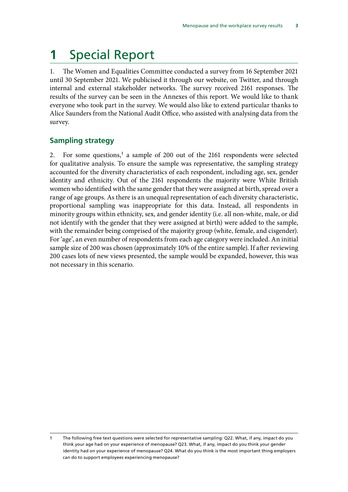# **1** Special Report

1. The Women and Equalities Committee conducted a survey from 16 September 2021 until 30 September 2021. We publicised it through our website, on Twitter, and through internal and external stakeholder networks. The survey received 2161 responses. The results of the survey can be seen in the Annexes of this report. We would like to thank everyone who took part in the survey. We would also like to extend particular thanks to Alice Saunders from the National Audit Office, who assisted with analysing data from the survey.

# **Sampling strategy**

2. For some questions,<sup>1</sup> a sample of 200 out of the 2161 respondents were selected for qualitative analysis. To ensure the sample was representative, the sampling strategy accounted for the diversity characteristics of each respondent, including age, sex, gender identity and ethnicity. Out of the 2161 respondents the majority were White British women who identified with the same gender that they were assigned at birth, spread over a range of age groups. As there is an unequal representation of each diversity characteristic, proportional sampling was inappropriate for this data. Instead, all respondents in minority groups within ethnicity, sex, and gender identity (i.e. all non-white, male, or did not identify with the gender that they were assigned at birth) were added to the sample, with the remainder being comprised of the majority group (white, female, and cisgender). For 'age', an even number of respondents from each age category were included. An initial sample size of 200 was chosen (approximately 10% of the entire sample). If after reviewing 200 cases lots of new views presented, the sample would be expanded, however, this was not necessary in this scenario.

The following free text questions were selected for representative sampling: Q22. What, if any, impact do you think your age had on your experience of menopause? Q23. What, if any, impact do you think your gender identity had on your experience of menopause? Q24. What do you think is the most important thing employers can do to support employees experiencing menopause?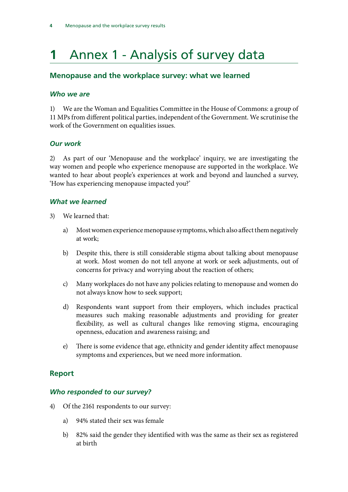# **1** Annex 1 - Analysis of survey data

# **Menopause and the workplace survey: what we learned**

### *Who we are*

1) We are the Woman and Equalities Committee in the House of Commons: a group of 11 MPs from different political parties, independent of the Government. We scrutinise the work of the Government on equalities issues.

## *Our work*

2) As part of our 'Menopause and the workplace' inquiry, we are investigating the way women and people who experience menopause are supported in the workplace. We wanted to hear about people's experiences at work and beyond and launched a survey, 'How has experiencing menopause impacted you?'

## *What we learned*

- 3) We learned that:
	- a) Most women experience menopause symptoms, which also affect them negatively at work;
	- b) Despite this, there is still considerable stigma about talking about menopause at work. Most women do not tell anyone at work or seek adjustments, out of concerns for privacy and worrying about the reaction of others;
	- c) Many workplaces do not have any policies relating to menopause and women do not always know how to seek support;
	- d) Respondents want support from their employers, which includes practical measures such making reasonable adjustments and providing for greater flexibility, as well as cultural changes like removing stigma, encouraging openness, education and awareness raising; and
	- e) There is some evidence that age, ethnicity and gender identity affect menopause symptoms and experiences, but we need more information.

## **Report**

## *Who responded to our survey?*

- 4) Of the 2161 respondents to our survey:
	- a) 94% stated their sex was female
	- b) 82% said the gender they identified with was the same as their sex as registered at birth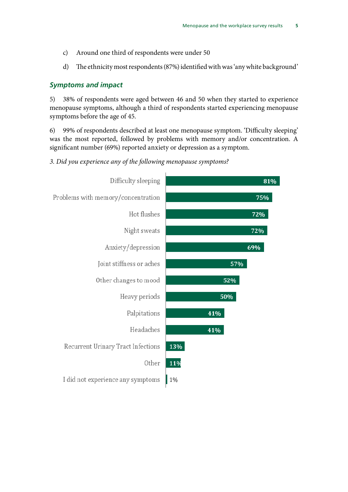- c) Around one third of respondents were under 50
- d) The ethnicity most respondents (87%) identified with was 'any white background'

#### *Symptoms and impact*

5) 38% of respondents were aged between 46 and 50 when they started to experience menopause symptoms, although a third of respondents started experiencing menopause symptoms before the age of 45.

6) 99% of respondents described at least one menopause symptom. 'Difficulty sleeping' was the most reported, followed by problems with memory and/or concentration. A significant number (69%) reported anxiety or depression as a symptom.

### *3. Did you experience any of the following menopause symptoms?*

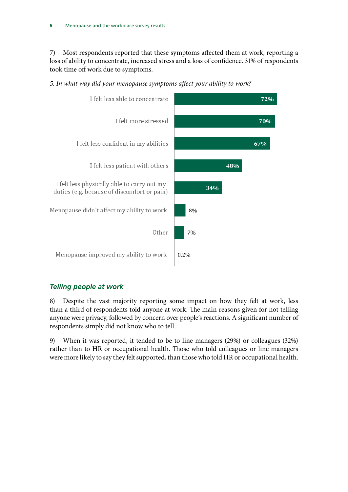7) Most respondents reported that these symptoms affected them at work, reporting a loss of ability to concentrate, increased stress and a loss of confidence. 31% of respondents took time off work due to symptoms.



*5. In what way did your menopause symptoms affect your ability to work?*

## *Telling people at work*

8) Despite the vast majority reporting some impact on how they felt at work, less than a third of respondents told anyone at work. The main reasons given for not telling anyone were privacy, followed by concern over people's reactions. A significant number of respondents simply did not know who to tell.

9) When it was reported, it tended to be to line managers (29%) or colleagues (32%) rather than to HR or occupational health. Those who told colleagues or line managers were more likely to say they felt supported, than those who told HR or occupational health.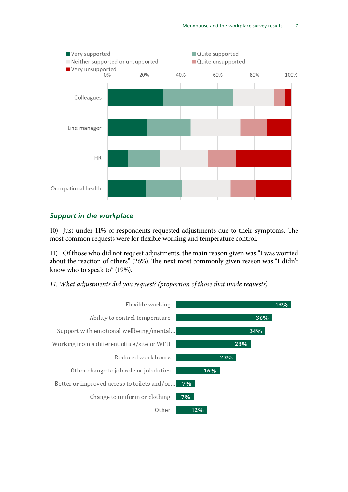

### *Support in the workplace*

10) Just under 11% of respondents requested adjustments due to their symptoms. The most common requests were for flexible working and temperature control.

11) Of those who did not request adjustments, the main reason given was "I was worried about the reaction of others" (26%). The next most commonly given reason was "I didn't know who to speak to" (19%).

*14. What adjustments did you request? (proportion of those that made requests)*

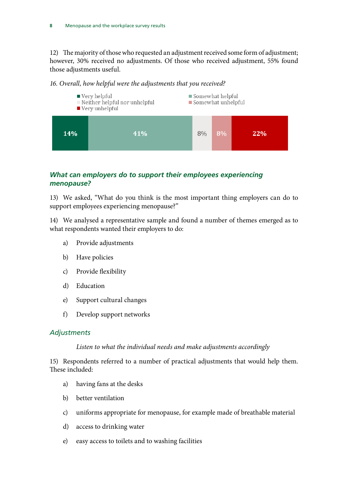12) The majority of those who requested an adjustment received some form of adjustment; however, 30% received no adjustments. Of those who received adjustment, 55% found those adjustments useful.



#### *16. Overall, how helpful were the adjustments that you received?*

## *What can employers do to support their employees experiencing menopause?*

13) We asked, "What do you think is the most important thing employers can do to support employees experiencing menopause?"

14) We analysed a representative sample and found a number of themes emerged as to what respondents wanted their employers to do:

- a) Provide adjustments
- b) Have policies
- c) Provide flexibility
- d) Education
- e) Support cultural changes
- f) Develop support networks

## *Adjustments*

## *Listen to what the individual needs and make adjustments accordingly*

15) Respondents referred to a number of practical adjustments that would help them. These included:

- a) having fans at the desks
- b) better ventilation
- c) uniforms appropriate for menopause, for example made of breathable material
- d) access to drinking water
- e) easy access to toilets and to washing facilities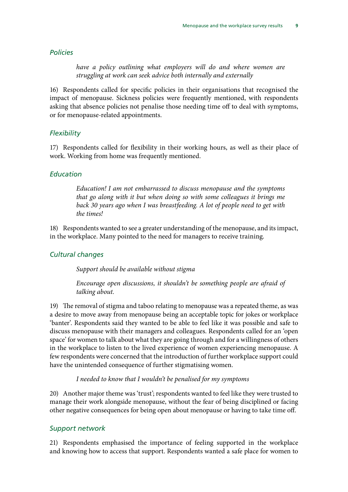#### *Policies*

*have a policy outlining what employers will do and where women are struggling at work can seek advice both internally and externally*

16) Respondents called for specific policies in their organisations that recognised the impact of menopause. Sickness policies were frequently mentioned, with respondents asking that absence policies not penalise those needing time off to deal with symptoms, or for menopause-related appointments.

#### *Flexibility*

17) Respondents called for flexibility in their working hours, as well as their place of work. Working from home was frequently mentioned.

#### *Education*

*Education! I am not embarrassed to discuss menopause and the symptoms that go along with it but when doing so with some colleagues it brings me back 30 years ago when I was breastfeeding. A lot of people need to get with the times!*

18) Respondents wanted to see a greater understanding of the menopause, and its impact, in the workplace. Many pointed to the need for managers to receive training.

#### *Cultural changes*

*Support should be available without stigma*

*Encourage open discussions, it shouldn't be something people are afraid of talking about.*

19) The removal of stigma and taboo relating to menopause was a repeated theme, as was a desire to move away from menopause being an acceptable topic for jokes or workplace 'banter'. Respondents said they wanted to be able to feel like it was possible and safe to discuss menopause with their managers and colleagues. Respondents called for an 'open space' for women to talk about what they are going through and for a willingness of others in the workplace to listen to the lived experience of women experiencing menopause. A few respondents were concerned that the introduction of further workplace support could have the unintended consequence of further stigmatising women.

#### *I needed to know that I wouldn't be penalised for my symptoms*

20) Another major theme was 'trust'; respondents wanted to feel like they were trusted to manage their work alongside menopause, without the fear of being disciplined or facing other negative consequences for being open about menopause or having to take time off.

#### *Support network*

21) Respondents emphasised the importance of feeling supported in the workplace and knowing how to access that support. Respondents wanted a safe place for women to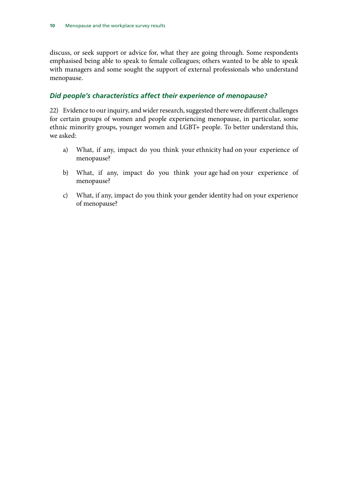discuss, or seek support or advice for, what they are going through. Some respondents emphasised being able to speak to female colleagues; others wanted to be able to speak with managers and some sought the support of external professionals who understand menopause.

## *Did people's characteristics affect their experience of menopause?*

22) Evidence to our inquiry, and wider research, suggested there were different challenges for certain groups of women and people experiencing menopause, in particular, some ethnic minority groups, younger women and LGBT+ people. To better understand this, we asked:

- a) What, if any, impact do you think your ethnicity had on your experience of menopause?
- b) What, if any, impact do you think your age had on your experience of menopause?
- c) What, if any, impact do you think your gender identity had on your experience of menopause?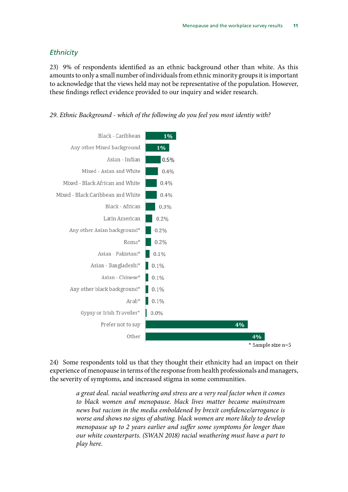#### *Ethnicity*

23) 9% of respondents identified as an ethnic background other than white. As this amounts to only a small number of individuals from ethnic minority groups it is important to acknowledge that the views held may not be representative of the population. However, these findings reflect evidence provided to our inquiry and wider research.





24) Some respondents told us that they thought their ethnicity had an impact on their experience of menopause in terms of the response from health professionals and managers, the severity of symptoms, and increased stigma in some communities.

> *a great deal. racial weathering and stress are a very real factor when it comes to black women and menopause. black lives matter became mainstream news but racism in the media emboldened by brexit confidence/arrogance is worse and shows no signs of abating. black women are more likely to develop menopause up to 2 years earlier and suffer some symptoms for longer than our white counterparts. (SWAN 2018) racial weathering must have a part to play here.*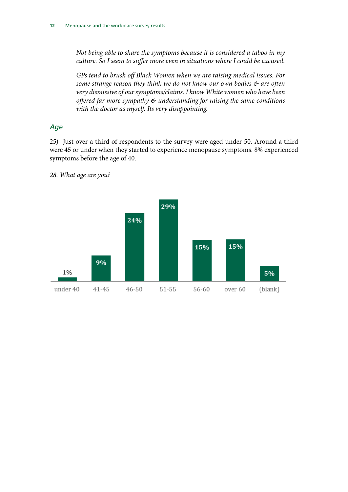*Not being able to share the symptoms because it is considered a taboo in my culture. So I seem to suffer more even in situations where I could be excused.*

*GPs tend to brush off Black Women when we are raising medical issues. For some strange reason they think we do not know our own bodies & are often very dismissive of our symptoms/claims. I know White women who have been offered far more sympathy & understanding for raising the same conditions with the doctor as myself. Its very disappointing.*

#### *Age*

25) Just over a third of respondents to the survey were aged under 50. Around a third were 45 or under when they started to experience menopause symptoms. 8% experienced symptoms before the age of 40.

*28. What age are you?*

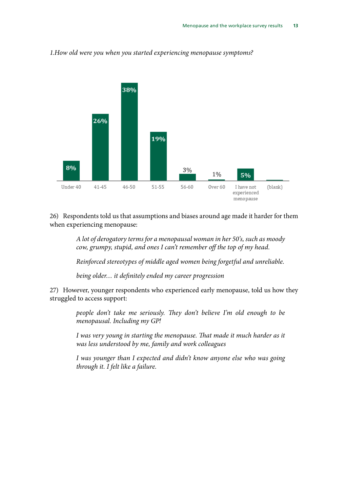

### *1.How old were you when you started experiencing menopause symptoms?*

26) Respondents told us that assumptions and biases around age made it harder for them when experiencing menopause:

> *A lot of derogatory terms for a menopausal woman in her 50's, such as moody cow, grumpy, stupid, and ones I can't remember off the top of my head.*

> *Reinforced stereotypes of middle aged women being forgetful and unreliable.*

*being older… it definitely ended my career progression*

27) However, younger respondents who experienced early menopause, told us how they struggled to access support:

> *people don't take me seriously. They don't believe I'm old enough to be menopausal. Including my GP!*

> *I was very young in starting the menopause. That made it much harder as it was less understood by me, family and work colleagues*

> *I was younger than I expected and didn't know anyone else who was going through it. I felt like a failure.*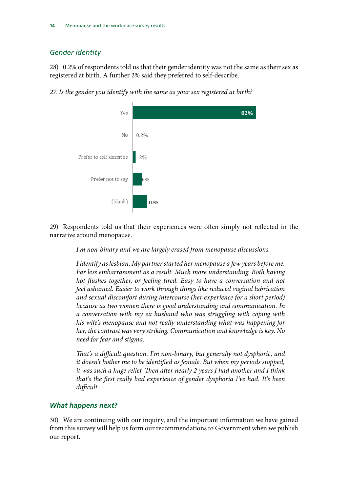# *Gender identity*

28) 0.2% of respondents told us that their gender identity was not the same as their sex as registered at birth. A further 2% said they preferred to self-describe.

*27. Is the gender you identify with the same as your sex registered at birth?*



29) Respondents told us that their experiences were often simply not reflected in the narrative around menopause.

*I'm non-binary and we are largely erased from menopause discussions.*

*I identify as lesbian. My partner started her menopause a few years before me. Far less embarrassment as a result. Much more understanding. Both having hot flushes together, or feeling tired. Easy to have a conversation and not feel ashamed. Easier to work through things like reduced vaginal lubrication and sexual discomfort during intercourse (her experience for a short period) because as two women there is good understanding and communication. In a conversation with my ex husband who was struggling with coping with his wife's menopause and not really understanding what was happening for her, the contrast was very striking. Communication and knowledge is key. No need for fear and stigma.*

*That's a difficult question. I'm non-binary, but generally not dysphoric, and it doesn't bother me to be identified as female. But when my periods stopped, it was such a huge relief. Then after nearly 2 years I had another and I think that's the first really bad experience of gender dysphoria I've had. It's been difficult.*

## *What happens next?*

30) We are continuing with our inquiry, and the important information we have gained from this survey will help us form our recommendations to Government when we publish our report.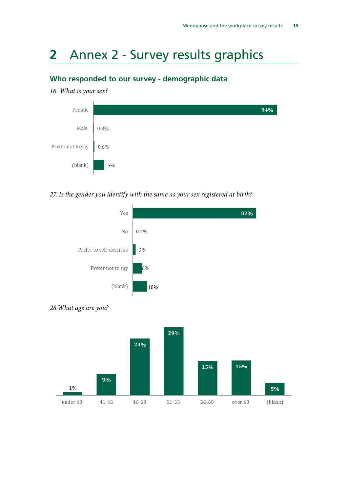# **2** Annex 2 - Survey results graphics

# **Who responded to our survey - demographic data**

#### *16. What is your sex?*



### *27. Is the gender you identify with the same as your sex registered at birth?*





*28.What age are you?*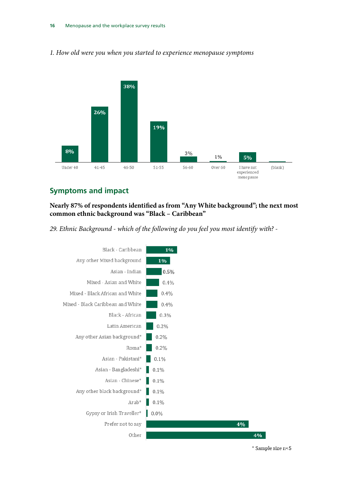

#### *1. How old were you when you started to experience menopause symptoms*

# **Symptoms and impact**

**Nearly 87% of respondents identified as from "Any White background"; the next most common ethnic background was "Black – Caribbean"** 

*29. Ethnic Background - which of the following do you feel you most identify with? -*



\* Sample size n<5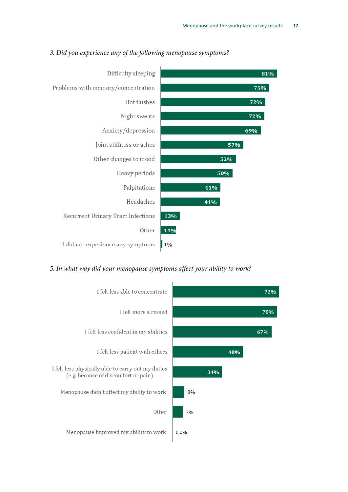

#### *3. Did you experience any of the following menopause symptoms?*

### *5. In what way did your menopause symptoms affect your ability to work?*

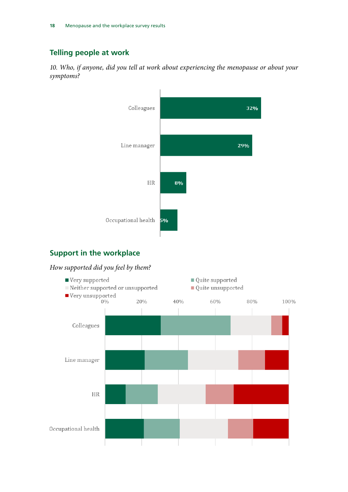# **Telling people at work**

*10. Who, if anyone, did you tell at work about experiencing the menopause or about your symptoms?*



## **Support in the workplace**

# *How supported did you feel by them?*

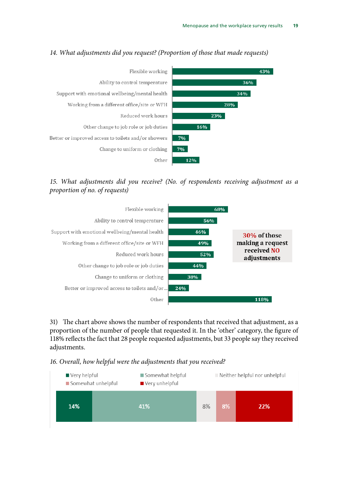

### *14. What adjustments did you request? (Proportion of those that made requests)*

*15. What adjustments did you receive? (No. of respondents receiving adjustment as a proportion of no. of requests)*



31) The chart above shows the number of respondents that received that adjustment, as a proportion of the number of people that requested it. In the 'other' category, the figure of 118% reflects the fact that 28 people requested adjustments, but 33 people say they received adjustments.

*16. Overall, how helpful were the adjustments that you received?*

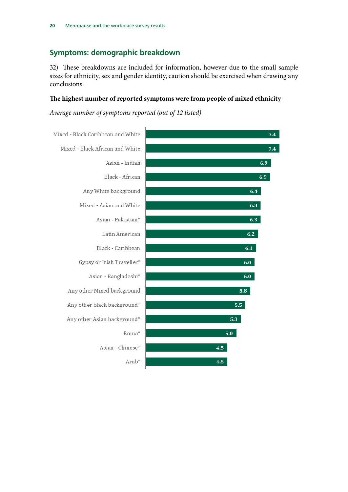# **Symptoms: demographic breakdown**

32) These breakdowns are included for information, however due to the small sample sizes for ethnicity, sex and gender identity, caution should be exercised when drawing any conclusions.

#### **The highest number of reported symptoms were from people of mixed ethnicity**

*Average number of symptoms reported (out of 12 listed)*

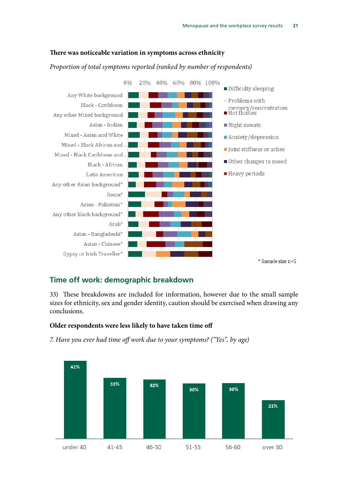#### **There was noticeable variation in symptoms across ethnicity**

#### *Proportion of total symptoms reported (ranked by number of respondents)*



## **Time off work: demographic breakdown**

33) These breakdowns are included for information, however due to the small sample sizes for ethnicity, sex and gender identity, caution should be exercised when drawing any conclusions.

#### **Older respondents were less likely to have taken time off**

*7. Have you ever had time off work due to your symptoms? ("Yes", by age)*

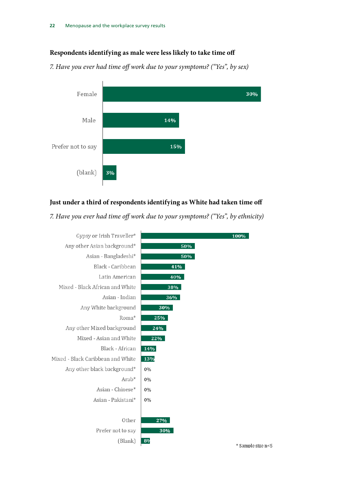#### **Respondents identifying as male were less likely to take time off**

*7. Have you ever had time off work due to your symptoms? ("Yes", by sex)*



### **Just under a third of respondents identifying as White had taken time off**

*7. Have you ever had time off work due to your symptoms? ("Yes", by ethnicity)*

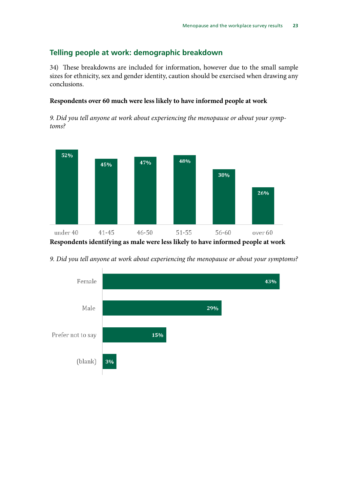# **Telling people at work: demographic breakdown**

34) These breakdowns are included for information, however due to the small sample sizes for ethnicity, sex and gender identity, caution should be exercised when drawing any conclusions.

### **Respondents over 60 much were less likely to have informed people at work**

*9. Did you tell anyone at work about experiencing the menopause or about your symptoms?* 



**Respondents identifying as male were less likely to have informed people at work**

*9. Did you tell anyone at work about experiencing the menopause or about your symptoms?* 

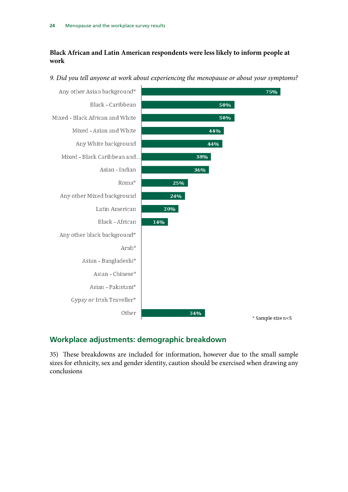## **Black African and Latin American respondents were less likely to inform people at work**



*9. Did you tell anyone at work about experiencing the menopause or about your symptoms?*

# **Workplace adjustments: demographic breakdown**

35) These breakdowns are included for information, however due to the small sample sizes for ethnicity, sex and gender identity, caution should be exercised when drawing any conclusions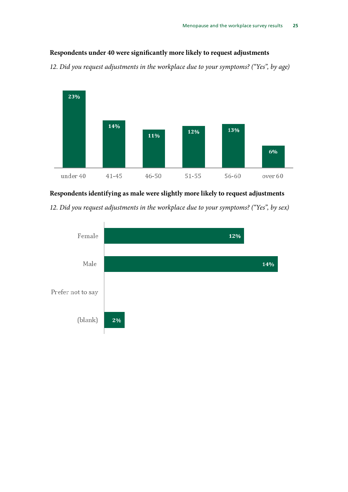## **Respondents under 40 were significantly more likely to request adjustments**

*12. Did you request adjustments in the workplace due to your symptoms? ("Yes", by age)*



## **Respondents identifying as male were slightly more likely to request adjustments**

*12. Did you request adjustments in the workplace due to your symptoms? ("Yes", by sex)*